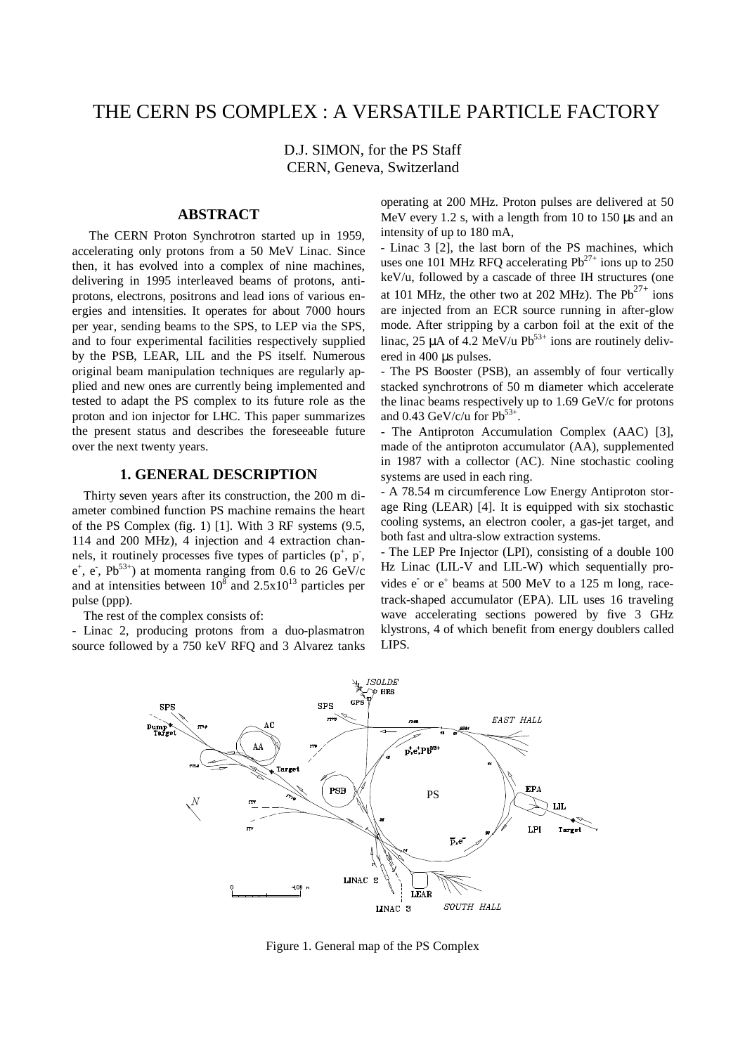# THE CERN PS COMPLEX : A VERSATILE PARTICLE FACTORY

D.J. SIMON, for the PS Staff CERN, Geneva, Switzerland

## **ABSTRACT**

The CERN Proton Synchrotron started up in 1959, accelerating only protons from a 50 MeV Linac. Since then, it has evolved into a complex of nine machines, delivering in 1995 interleaved beams of protons, antiprotons, electrons, positrons and lead ions of various energies and intensities. It operates for about 7000 hours per year, sending beams to the SPS, to LEP via the SPS, and to four experimental facilities respectively supplied by the PSB, LEAR, LIL and the PS itself. Numerous original beam manipulation techniques are regularly applied and new ones are currently being implemented and tested to adapt the PS complex to its future role as the proton and ion injector for LHC. This paper summarizes the present status and describes the foreseeable future over the next twenty years.

## **1. GENERAL DESCRIPTION**

Thirty seven years after its construction, the 200 m diameter combined function PS machine remains the heart of the PS Complex (fig. 1) [1]. With 3 RF systems (9.5, 114 and 200 MHz), 4 injection and 4 extraction channels, it routinely processes five types of particles  $(p^+, p^-, p^-)$  $e^+$ ,  $e^-$ ,  $Pb^{53+}$ ) at momenta ranging from 0.6 to 26 GeV/c and at intensities between  $10^8$  and  $2.5 \times 10^{13}$  particles per pulse (ppp).

The rest of the complex consists of:

- Linac 2, producing protons from a duo-plasmatron source followed by a 750 keV RFQ and 3 Alvarez tanks operating at 200 MHz. Proton pulses are delivered at 50 MeV every 1.2 s, with a length from 10 to 150  $\mu$ s and an intensity of up to 180 mA,

- Linac 3 [2], the last born of the PS machines, which uses one 101 MHz RFQ accelerating  $Pb^{27+}$  ions up to 250 keV/u, followed by a cascade of three IH structures (one at 101 MHz, the other two at 202 MHz). The  $Pb^{27+}$  ions are injected from an ECR source running in after-glow mode. After stripping by a carbon foil at the exit of the linac, 25  $\mu$ A of 4.2 MeV/u Pb<sup>53+</sup> ions are routinely delivered in 400 µs pulses.

- The PS Booster (PSB), an assembly of four vertically stacked synchrotrons of 50 m diameter which accelerate the linac beams respectively up to 1.69 GeV/c for protons and 0.43 GeV/c/u for  $Pb^{53+}$ .

The Antiproton Accumulation Complex (AAC) [3], made of the antiproton accumulator (AA), supplemented in 1987 with a collector (AC). Nine stochastic cooling systems are used in each ring.

- A 78.54 m circumference Low Energy Antiproton storage Ring (LEAR) [4]. It is equipped with six stochastic cooling systems, an electron cooler, a gas-jet target, and both fast and ultra-slow extraction systems.

- The LEP Pre Injector (LPI), consisting of a double 100 Hz Linac (LIL-V and LIL-W) which sequentially provides  $e^-$  or  $e^+$  beams at 500 MeV to a 125 m long, racetrack-shaped accumulator (EPA). LIL uses 16 traveling wave accelerating sections powered by five 3 GHz klystrons, 4 of which benefit from energy doublers called LIPS.



Figure 1. General map of the PS Complex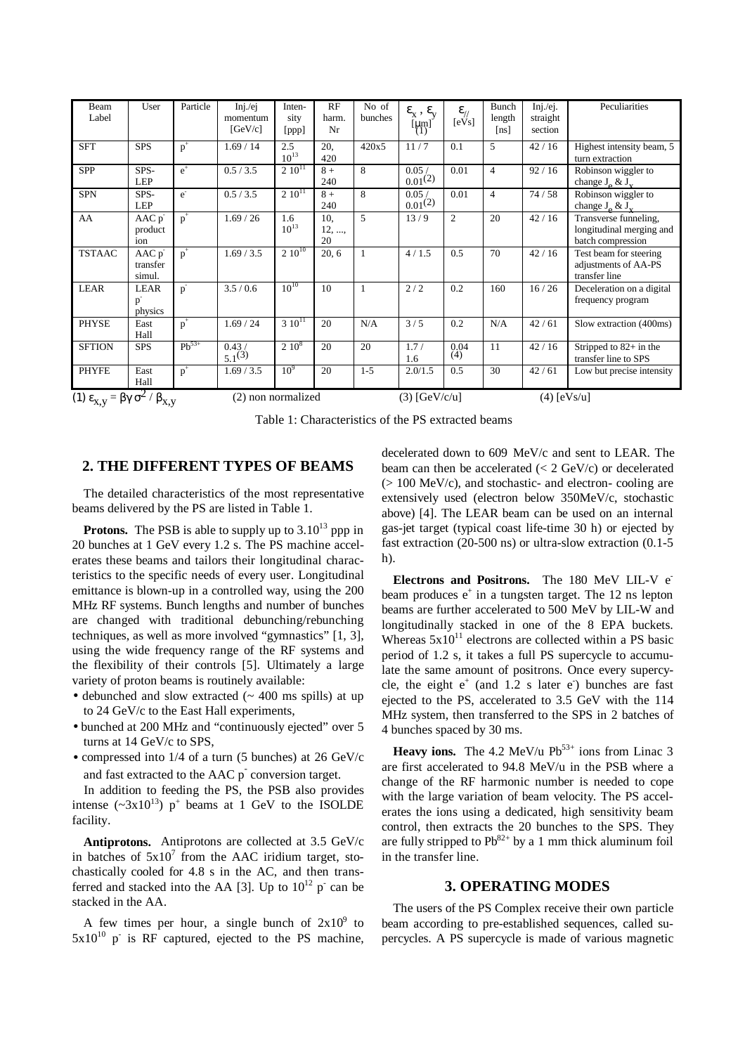| Beam<br>Label                                                                    | User                        | Particle   | Inj/ej<br>momentum<br>[GeV/c] | Inten-<br>sity<br>[ppp] | RF<br>harm.<br>Nr  | No of<br>bunches | $\epsilon_{x}$ , $\epsilon_{v}$<br>$\begin{bmatrix} \mu m \\ \lambda m \end{bmatrix}$ | $\epsilon$ <sub>//</sub><br>[eVs] | Bunch<br>length<br>[ns] | Inj/ej.<br>straight<br>section | Peculiarities                                                          |
|----------------------------------------------------------------------------------|-----------------------------|------------|-------------------------------|-------------------------|--------------------|------------------|---------------------------------------------------------------------------------------|-----------------------------------|-------------------------|--------------------------------|------------------------------------------------------------------------|
| <b>SFT</b>                                                                       | <b>SPS</b>                  | $p^+$      | 1.69/14                       | 2.5<br>$10^{13}$        | 20,<br>420         | 420x5            | 11/7                                                                                  | 0.1                               | 5                       | 42/16                          | Highest intensity beam, 5<br>turn extraction                           |
| <b>SPP</b>                                                                       | SPS-<br><b>LEP</b>          | $e^+$      | 0.5 / 3.5                     | $2.10^{11}$             | $8+$<br>240        | 8                | 0.05/<br>0.01(2)                                                                      | 0.01                              | $\overline{4}$          | 92/16                          | Robinson wiggler to<br>change $J_{\alpha} \& J_{\nu}$                  |
| <b>SPN</b>                                                                       | SPS-<br><b>LEP</b>          | $e^{-}$    | 0.5 / 3.5                     | $2.10^{11}$             | $8+$<br>240        | 8                | 0.05/<br>$0.01^{(2)}$                                                                 | 0.01                              | $\overline{4}$          | 74/58                          | Robinson wiggler to<br>change $J_{\alpha} \& J_{v}$                    |
| AA                                                                               | AAC p<br>product<br>ion     | $p^+$      | 1.69 / 26                     | 1.6<br>$10^{13}$        | 10,<br>12, ,<br>20 | 5                | 13/9                                                                                  | 2                                 | 20                      | 42/16                          | Transverse funneling,<br>longitudinal merging and<br>batch compression |
| <b>TSTAAC</b>                                                                    | AAC p<br>transfer<br>simul. | $p^+$      | 1.69 / 3.5                    | $2.10^{10}$             | 20, 6              |                  | 4/1.5                                                                                 | 0.5                               | 70                      | 42/16                          | Test beam for steering<br>adjustments of AA-PS<br>transfer line        |
| <b>LEAR</b>                                                                      | LEAR<br>p<br>physics        | $p^{-}$    | 3.5/0.6                       | $10^{10}$               | 10                 | $\mathbf{1}$     | 2/2                                                                                   | 0.2                               | 160                     | 16/26                          | Deceleration on a digital<br>frequency program                         |
| <b>PHYSE</b>                                                                     | East<br>Hall                | $p^+$      | 1.69 / 24                     | $310^{11}$              | 20                 | N/A              | 3/5                                                                                   | 0.2                               | N/A                     | 42/61                          | Slow extraction (400ms)                                                |
| <b>SFTION</b>                                                                    | <b>SPS</b>                  | $Ph^{53+}$ | 0.43/<br>$5.1^{(3)}$          | $2.10^8$                | 20                 | 20               | 1.7/<br>1.6                                                                           | 0.04<br>(4)                       | 11                      | 42/16                          | Stripped to $82+$ in the<br>transfer line to SPS                       |
| <b>PHYFE</b>                                                                     | East<br>Hall                | $p^+$      | 1.69 / 3.5                    | 10 <sup>9</sup>         | 20                 | $1 - 5$          | 2.0/1.5                                                                               | 0.5                               | 30                      | 42/61                          | Low but precise intensity                                              |
| (1) $\epsilon_{X,Y} = \beta \gamma \sigma^2 / \beta_{X,Y}$<br>(2) non normalized |                             |            |                               |                         |                    |                  | $(3)$ [GeV/c/u]<br>$(4)$ [eVs/u]                                                      |                                   |                         |                                |                                                                        |

Table 1: Characteristics of the PS extracted beams

#### **2. THE DIFFERENT TYPES OF BEAMS**

The detailed characteristics of the most representative beams delivered by the PS are listed in Table 1.

**Protons.** The PSB is able to supply up to  $3.10^{13}$  ppp in 20 bunches at 1 GeV every 1.2 s. The PS machine accelerates these beams and tailors their longitudinal characteristics to the specific needs of every user. Longitudinal emittance is blown-up in a controlled way, using the 200 MHz RF systems. Bunch lengths and number of bunches are changed with traditional debunching/rebunching techniques, as well as more involved "gymnastics" [1, 3], using the wide frequency range of the RF systems and the flexibility of their controls [5]. Ultimately a large variety of proton beams is routinely available:

- debunched and slow extracted  $($   $\sim$  400 ms spills) at up to 24 GeV/c to the East Hall experiments,
- bunched at 200 MHz and "continuously ejected" over 5 turns at 14 GeV/c to SPS,
- compressed into 1/4 of a turn (5 bunches) at 26 GeV/c and fast extracted to the AAC p<sup>-</sup> conversion target.

In addition to feeding the PS, the PSB also provides intense  $(\sim 3x10^{13})$  p<sup>+</sup> beams at 1 GeV to the ISOLDE facility.

**Antiprotons.** Antiprotons are collected at 3.5 GeV/c in batches of  $5x10^7$  from the AAC iridium target, stochastically cooled for 4.8 s in the AC, and then transferred and stacked into the AA [3]. Up to  $10^{12}$  p<sup>-</sup> can be stacked in the AA.

A few times per hour, a single bunch of  $2x10^9$  to  $5x10^{10}$  p<sup>-</sup> is RF captured, ejected to the PS machine,

decelerated down to 609 MeV/c and sent to LEAR. The beam can then be accelerated  $(< 2 \text{ GeV/c})$  or decelerated (> 100 MeV/c), and stochastic- and electron- cooling are extensively used (electron below 350MeV/c, stochastic above) [4]. The LEAR beam can be used on an internal gas-jet target (typical coast life-time 30 h) or ejected by fast extraction (20-500 ns) or ultra-slow extraction (0.1-5 h).

**Electrons and Positrons.** The 180 MeV LIL-V ebeam produces e<sup>+</sup> in a tungsten target. The 12 ns lepton beams are further accelerated to 500 MeV by LIL-W and longitudinally stacked in one of the 8 EPA buckets. Whereas  $5x10^{11}$  electrons are collected within a PS basic period of 1.2 s, it takes a full PS supercycle to accumulate the same amount of positrons. Once every supercycle, the eight  $e^+$  (and 1.2 s later  $e^-$ ) bunches are fast ejected to the PS, accelerated to 3.5 GeV with the 114 MHz system, then transferred to the SPS in 2 batches of 4 bunches spaced by 30 ms.

**Heavy ions.** The 4.2 MeV/u  $Pb^{53+}$  ions from Linac 3 are first accelerated to 94.8 MeV/u in the PSB where a change of the RF harmonic number is needed to cope with the large variation of beam velocity. The PS accelerates the ions using a dedicated, high sensitivity beam control, then extracts the 20 bunches to the SPS. They are fully stripped to  $Pb^{82+}$  by a 1 mm thick aluminum foil in the transfer line.

## **3. OPERATING MODES**

The users of the PS Complex receive their own particle beam according to pre-established sequences, called supercycles. A PS supercycle is made of various magnetic